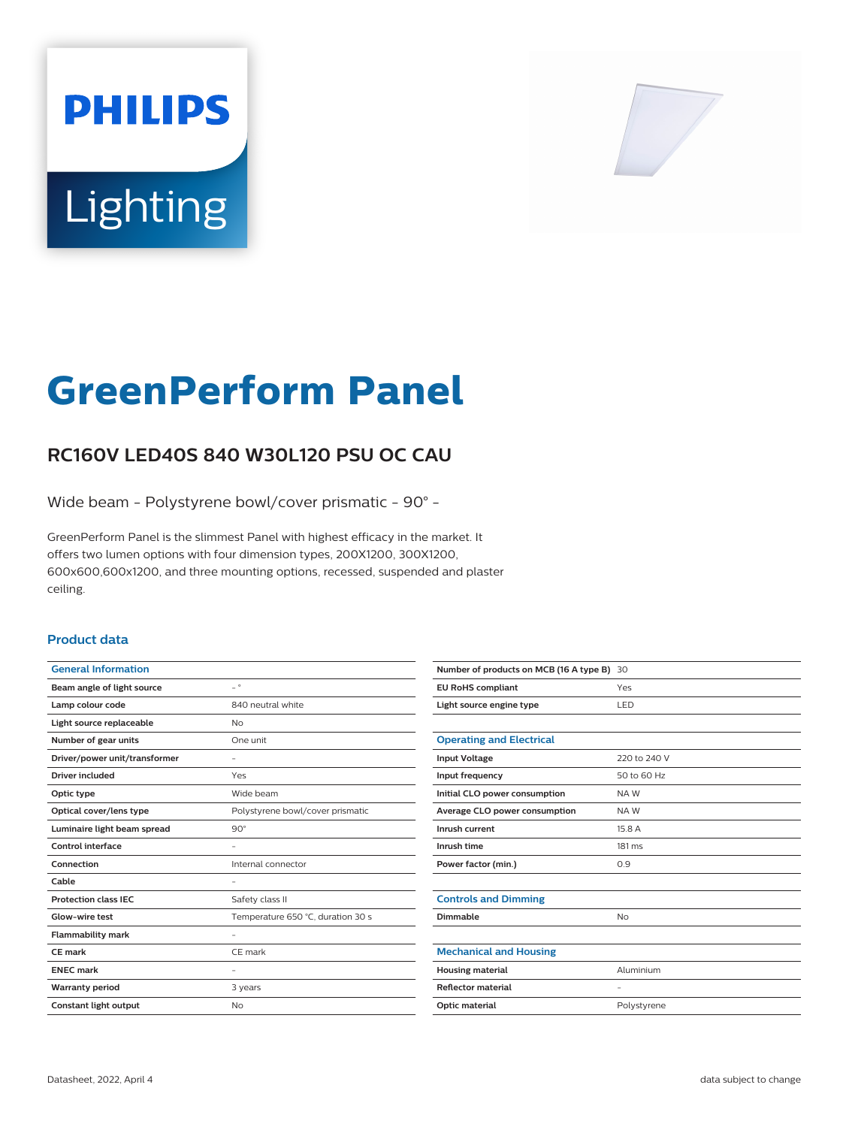# **PHILIPS** Lighting



# **GreenPerform Panel**

# **RC160V LED40S 840 W30L120 PSU OC CAU**

Wide beam - Polystyrene bowl/cover prismatic - 90° -

GreenPerform Panel is the slimmest Panel with highest efficacy in the market. It offers two lumen options with four dimension types, 200X1200, 300X1200, 600x600,600x1200, and three mounting options, recessed, suspended and plaster ceiling.

### **Product data**

| <b>General Information</b>    |                                   |
|-------------------------------|-----------------------------------|
| Beam angle of light source    | $\overline{\phantom{0}}$          |
| Lamp colour code              | 840 neutral white                 |
| Light source replaceable      | No                                |
| Number of gear units          | One unit                          |
| Driver/power unit/transformer |                                   |
| <b>Driver included</b>        | Yes                               |
| Optic type                    | Wide beam                         |
| Optical cover/lens type       | Polystyrene bowl/cover prismatic  |
| Luminaire light beam spread   | $90^\circ$                        |
| Control interface             |                                   |
| Connection                    | Internal connector                |
| Cable                         |                                   |
| <b>Protection class IEC</b>   | Safety class II                   |
| Glow-wire test                | Temperature 650 °C, duration 30 s |
| <b>Flammability mark</b>      |                                   |
| CE mark                       | CE mark                           |
| <b>ENEC mark</b>              |                                   |
| <b>Warranty period</b>        | 3 years                           |
| Constant light output         | No                                |
|                               |                                   |

| Number of products on MCB (16 A type B) 30 |              |
|--------------------------------------------|--------------|
| <b>EU RoHS compliant</b>                   | Yes          |
| Light source engine type                   | LED          |
|                                            |              |
| <b>Operating and Electrical</b>            |              |
| <b>Input Voltage</b>                       | 220 to 240 V |
| Input frequency                            | 50 to 60 Hz  |
| Initial CLO power consumption              | NAW          |
| Average CLO power consumption              | NAW          |
| Inrush current                             | 15.8 A       |
| Inrush time                                | 181 ms       |
| Power factor (min.)                        | 0.9          |
|                                            |              |
| <b>Controls and Dimming</b>                |              |
| Dimmable                                   | <b>No</b>    |
|                                            |              |
| <b>Mechanical and Housing</b>              |              |
| <b>Housing material</b>                    | Aluminium    |
| <b>Reflector material</b>                  | ۰            |
| Optic material                             | Polystyrene  |
|                                            |              |